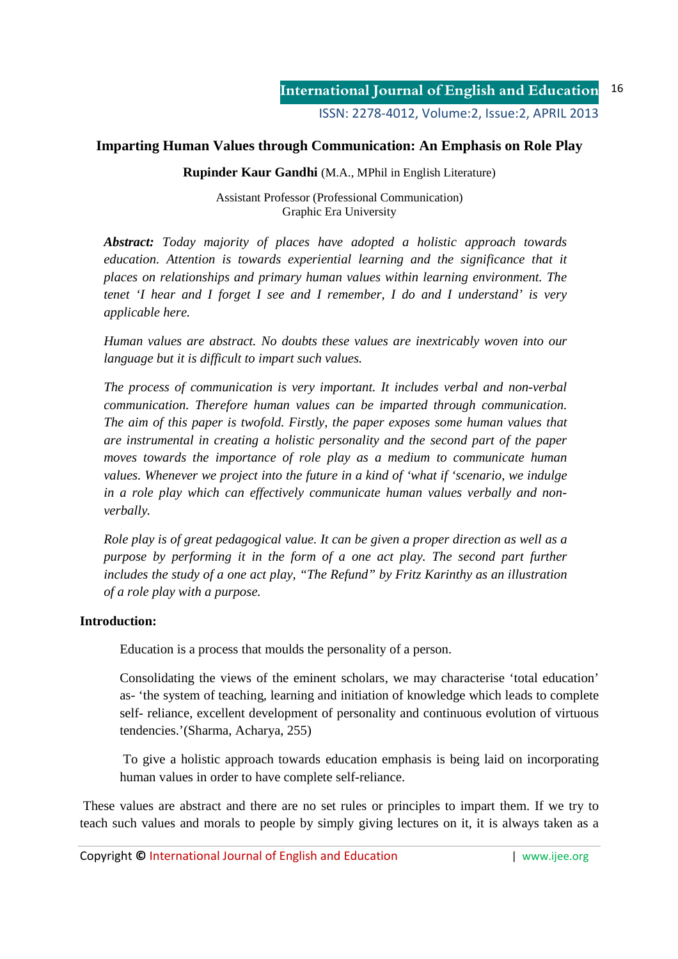## **Imparting Human Values through Communication: An Emphasis on Role Play**

**Rupinder Kaur Gandhi** (M.A., MPhil in English Literature)

Assistant Professor (Professional Communication) Graphic Era University

*Abstract: Today majority of places have adopted a holistic approach towards*  education. Attention is towards experiential learning and the significance that it *places on relationships and primary human values within learning environment. The tenet 'I hear and I forget I see and I remember, I do and I understand' is very applicable here.* 

*Human values are abstract. No doubts these values are inextricably woven into our language but it is difficult to impart such values.* 

*The process of communication is very important. It includes verbal and non-verbal communication. Therefore human values can be imparted through communication. The aim of this paper is twofold. Firstly, the paper exposes some human values that are instrumental in creating a holistic personality and the second part of the paper moves towards the importance of role play as a medium to communicate human values. Whenever we project into the future in a kind of 'what if 'scenario, we indulge in a role play which can effectively communicate human values verbally and nonverbally.* 

*Role play is of great pedagogical value. It can be given a proper direction as well as a purpose by performing it in the form of a one act play. The second part further includes the study of a one act play, "The Refund" by Fritz Karinthy as an illustration of a role play with a purpose.* 

#### **Introduction:**

Education is a process that moulds the personality of a person.

Consolidating the views of the eminent scholars, we may characterise 'total education' as- 'the system of teaching, learning and initiation of knowledge which leads to complete self- reliance, excellent development of personality and continuous evolution of virtuous tendencies.'(Sharma, Acharya, 255)

 To give a holistic approach towards education emphasis is being laid on incorporating human values in order to have complete self-reliance.

 These values are abstract and there are no set rules or principles to impart them. If we try to teach such values and morals to people by simply giving lectures on it, it is always taken as a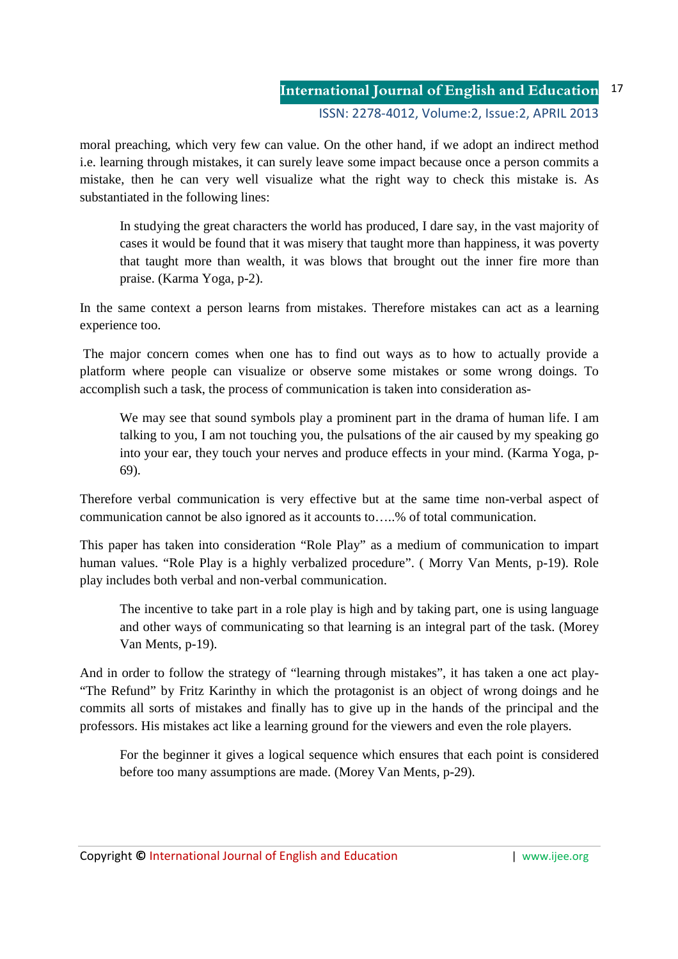moral preaching, which very few can value. On the other hand, if we adopt an indirect method i.e. learning through mistakes, it can surely leave some impact because once a person commits a mistake, then he can very well visualize what the right way to check this mistake is. As substantiated in the following lines:

In studying the great characters the world has produced, I dare say, in the vast majority of cases it would be found that it was misery that taught more than happiness, it was poverty that taught more than wealth, it was blows that brought out the inner fire more than praise. (Karma Yoga, p-2).

In the same context a person learns from mistakes. Therefore mistakes can act as a learning experience too.

 The major concern comes when one has to find out ways as to how to actually provide a platform where people can visualize or observe some mistakes or some wrong doings. To accomplish such a task, the process of communication is taken into consideration as-

We may see that sound symbols play a prominent part in the drama of human life. I am talking to you, I am not touching you, the pulsations of the air caused by my speaking go into your ear, they touch your nerves and produce effects in your mind. (Karma Yoga, p-69).

Therefore verbal communication is very effective but at the same time non-verbal aspect of communication cannot be also ignored as it accounts to…..% of total communication.

This paper has taken into consideration "Role Play" as a medium of communication to impart human values. "Role Play is a highly verbalized procedure". ( Morry Van Ments, p-19). Role play includes both verbal and non-verbal communication.

The incentive to take part in a role play is high and by taking part, one is using language and other ways of communicating so that learning is an integral part of the task. (Morey Van Ments, p-19).

And in order to follow the strategy of "learning through mistakes", it has taken a one act play- "The Refund" by Fritz Karinthy in which the protagonist is an object of wrong doings and he commits all sorts of mistakes and finally has to give up in the hands of the principal and the professors. His mistakes act like a learning ground for the viewers and even the role players.

For the beginner it gives a logical sequence which ensures that each point is considered before too many assumptions are made. (Morey Van Ments, p-29).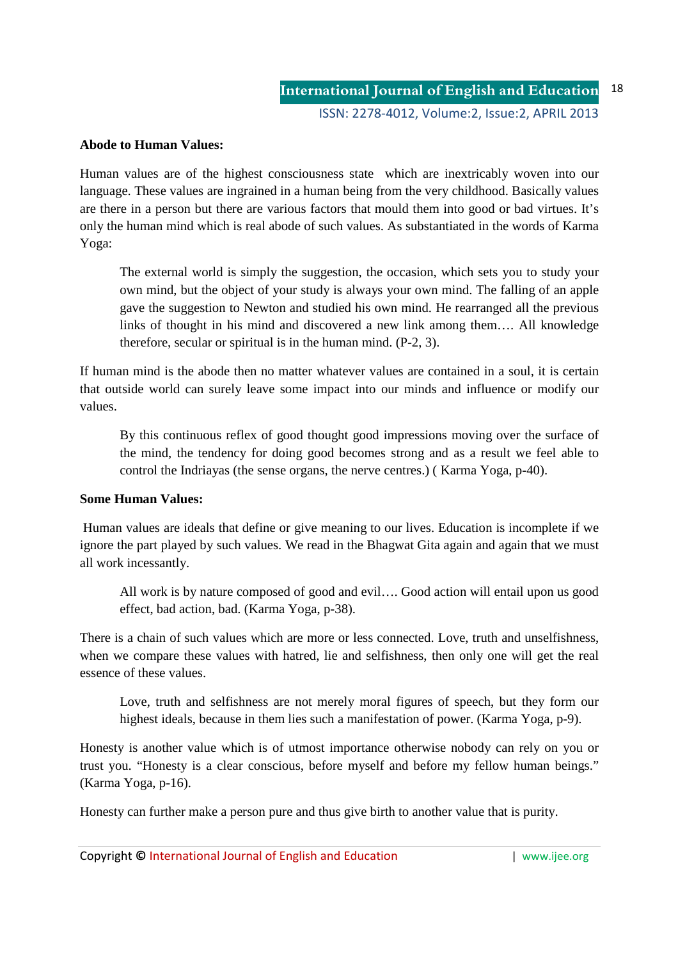#### **Abode to Human Values:**

Human values are of the highest consciousness state which are inextricably woven into our language. These values are ingrained in a human being from the very childhood. Basically values are there in a person but there are various factors that mould them into good or bad virtues. It's only the human mind which is real abode of such values. As substantiated in the words of Karma Yoga:

The external world is simply the suggestion, the occasion, which sets you to study your own mind, but the object of your study is always your own mind. The falling of an apple gave the suggestion to Newton and studied his own mind. He rearranged all the previous links of thought in his mind and discovered a new link among them…. All knowledge therefore, secular or spiritual is in the human mind. (P-2, 3).

If human mind is the abode then no matter whatever values are contained in a soul, it is certain that outside world can surely leave some impact into our minds and influence or modify our values.

By this continuous reflex of good thought good impressions moving over the surface of the mind, the tendency for doing good becomes strong and as a result we feel able to control the Indriayas (the sense organs, the nerve centres.) ( Karma Yoga, p-40).

#### **Some Human Values:**

 Human values are ideals that define or give meaning to our lives. Education is incomplete if we ignore the part played by such values. We read in the Bhagwat Gita again and again that we must all work incessantly.

All work is by nature composed of good and evil…. Good action will entail upon us good effect, bad action, bad. (Karma Yoga, p-38).

There is a chain of such values which are more or less connected. Love, truth and unselfishness, when we compare these values with hatred, lie and selfishness, then only one will get the real essence of these values.

Love, truth and selfishness are not merely moral figures of speech, but they form our highest ideals, because in them lies such a manifestation of power. (Karma Yoga, p-9).

Honesty is another value which is of utmost importance otherwise nobody can rely on you or trust you. "Honesty is a clear conscious, before myself and before my fellow human beings." (Karma Yoga, p-16).

Honesty can further make a person pure and thus give birth to another value that is purity.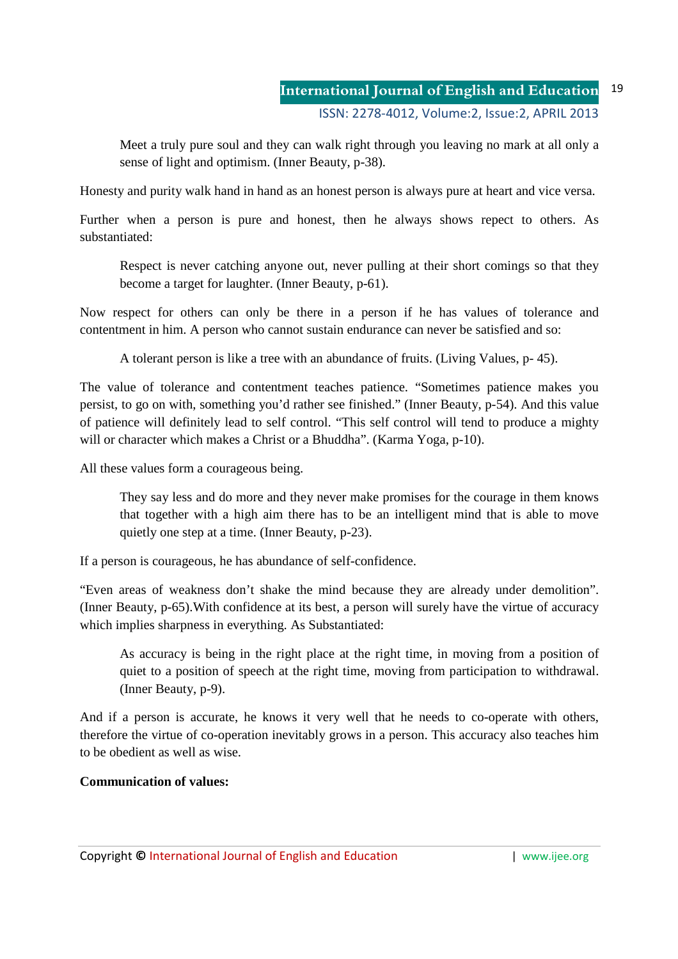Meet a truly pure soul and they can walk right through you leaving no mark at all only a sense of light and optimism. (Inner Beauty, p-38).

Honesty and purity walk hand in hand as an honest person is always pure at heart and vice versa.

Further when a person is pure and honest, then he always shows repect to others. As substantiated:

Respect is never catching anyone out, never pulling at their short comings so that they become a target for laughter. (Inner Beauty, p-61).

Now respect for others can only be there in a person if he has values of tolerance and contentment in him. A person who cannot sustain endurance can never be satisfied and so:

A tolerant person is like a tree with an abundance of fruits. (Living Values, p- 45).

The value of tolerance and contentment teaches patience. "Sometimes patience makes you persist, to go on with, something you'd rather see finished." (Inner Beauty, p-54). And this value of patience will definitely lead to self control. "This self control will tend to produce a mighty will or character which makes a Christ or a Bhuddha". (Karma Yoga, p-10).

All these values form a courageous being.

They say less and do more and they never make promises for the courage in them knows that together with a high aim there has to be an intelligent mind that is able to move quietly one step at a time. (Inner Beauty, p-23).

If a person is courageous, he has abundance of self-confidence.

"Even areas of weakness don't shake the mind because they are already under demolition". (Inner Beauty, p-65).With confidence at its best, a person will surely have the virtue of accuracy which implies sharpness in everything. As Substantiated:

As accuracy is being in the right place at the right time, in moving from a position of quiet to a position of speech at the right time, moving from participation to withdrawal. (Inner Beauty, p-9).

And if a person is accurate, he knows it very well that he needs to co-operate with others, therefore the virtue of co-operation inevitably grows in a person. This accuracy also teaches him to be obedient as well as wise.

## **Communication of values:**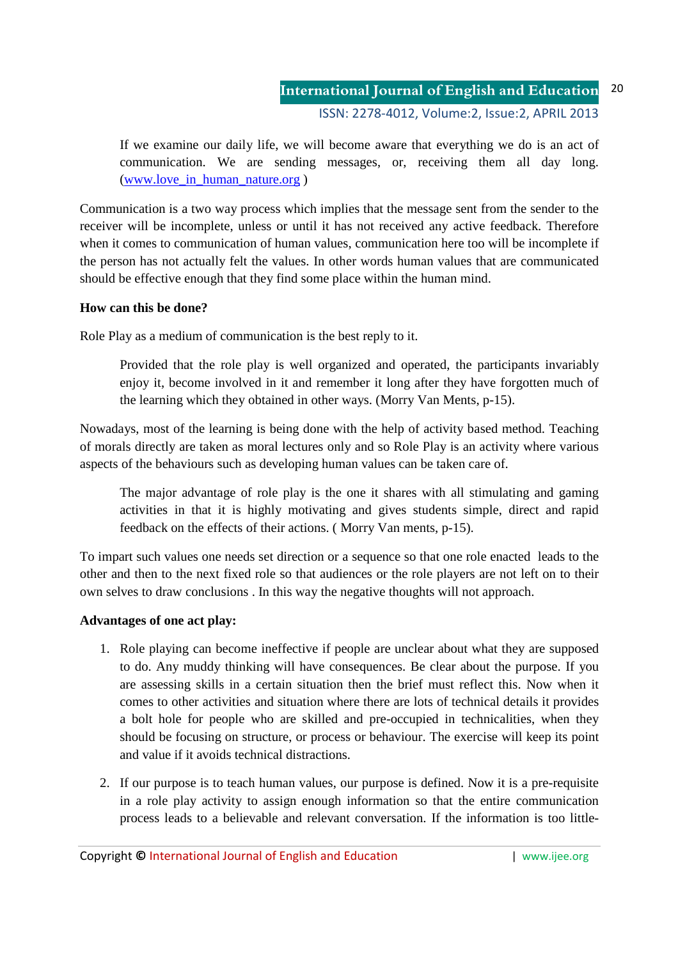#### **International Journal of English and Education** ISSN: 2278-4012, Volume:2, Issue:2, APRIL 2013 20

If we examine our daily life, we will become aware that everything we do is an act of communication. We are sending messages, or, receiving them all day long. (www.love\_in\_human\_nature.org )

Communication is a two way process which implies that the message sent from the sender to the receiver will be incomplete, unless or until it has not received any active feedback. Therefore when it comes to communication of human values, communication here too will be incomplete if the person has not actually felt the values. In other words human values that are communicated should be effective enough that they find some place within the human mind.

## **How can this be done?**

Role Play as a medium of communication is the best reply to it.

Provided that the role play is well organized and operated, the participants invariably enjoy it, become involved in it and remember it long after they have forgotten much of the learning which they obtained in other ways. (Morry Van Ments, p-15).

Nowadays, most of the learning is being done with the help of activity based method. Teaching of morals directly are taken as moral lectures only and so Role Play is an activity where various aspects of the behaviours such as developing human values can be taken care of.

The major advantage of role play is the one it shares with all stimulating and gaming activities in that it is highly motivating and gives students simple, direct and rapid feedback on the effects of their actions. ( Morry Van ments, p-15).

To impart such values one needs set direction or a sequence so that one role enacted leads to the other and then to the next fixed role so that audiences or the role players are not left on to their own selves to draw conclusions . In this way the negative thoughts will not approach.

#### **Advantages of one act play:**

- 1. Role playing can become ineffective if people are unclear about what they are supposed to do. Any muddy thinking will have consequences. Be clear about the purpose. If you are assessing skills in a certain situation then the brief must reflect this. Now when it comes to other activities and situation where there are lots of technical details it provides a bolt hole for people who are skilled and pre-occupied in technicalities, when they should be focusing on structure, or process or behaviour. The exercise will keep its point and value if it avoids technical distractions.
- 2. If our purpose is to teach human values, our purpose is defined. Now it is a pre-requisite in a role play activity to assign enough information so that the entire communication process leads to a believable and relevant conversation. If the information is too little-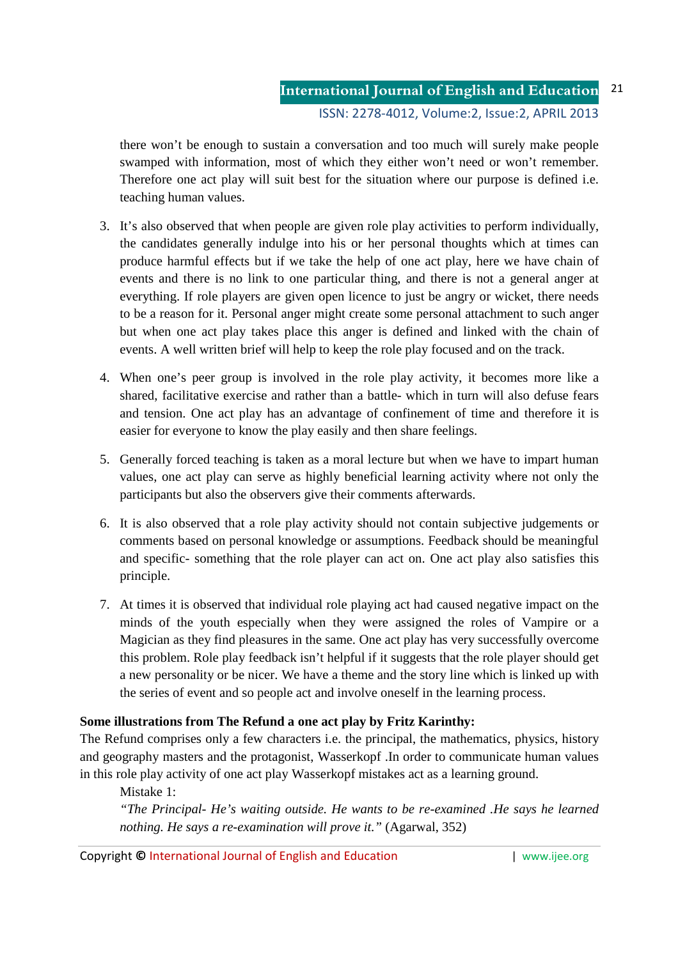there won't be enough to sustain a conversation and too much will surely make people swamped with information, most of which they either won't need or won't remember. Therefore one act play will suit best for the situation where our purpose is defined i.e. teaching human values.

- 3. It's also observed that when people are given role play activities to perform individually, the candidates generally indulge into his or her personal thoughts which at times can produce harmful effects but if we take the help of one act play, here we have chain of events and there is no link to one particular thing, and there is not a general anger at everything. If role players are given open licence to just be angry or wicket, there needs to be a reason for it. Personal anger might create some personal attachment to such anger but when one act play takes place this anger is defined and linked with the chain of events. A well written brief will help to keep the role play focused and on the track.
- 4. When one's peer group is involved in the role play activity, it becomes more like a shared, facilitative exercise and rather than a battle- which in turn will also defuse fears and tension. One act play has an advantage of confinement of time and therefore it is easier for everyone to know the play easily and then share feelings.
- 5. Generally forced teaching is taken as a moral lecture but when we have to impart human values, one act play can serve as highly beneficial learning activity where not only the participants but also the observers give their comments afterwards.
- 6. It is also observed that a role play activity should not contain subjective judgements or comments based on personal knowledge or assumptions. Feedback should be meaningful and specific- something that the role player can act on. One act play also satisfies this principle.
- 7. At times it is observed that individual role playing act had caused negative impact on the minds of the youth especially when they were assigned the roles of Vampire or a Magician as they find pleasures in the same. One act play has very successfully overcome this problem. Role play feedback isn't helpful if it suggests that the role player should get a new personality or be nicer. We have a theme and the story line which is linked up with the series of event and so people act and involve oneself in the learning process.

# **Some illustrations from The Refund a one act play by Fritz Karinthy:**

The Refund comprises only a few characters i.e. the principal, the mathematics, physics, history and geography masters and the protagonist, Wasserkopf .In order to communicate human values in this role play activity of one act play Wasserkopf mistakes act as a learning ground.

Mistake 1:

*"The Principal- He's waiting outside. He wants to be re-examined .He says he learned nothing. He says a re-examination will prove it."* (Agarwal, 352)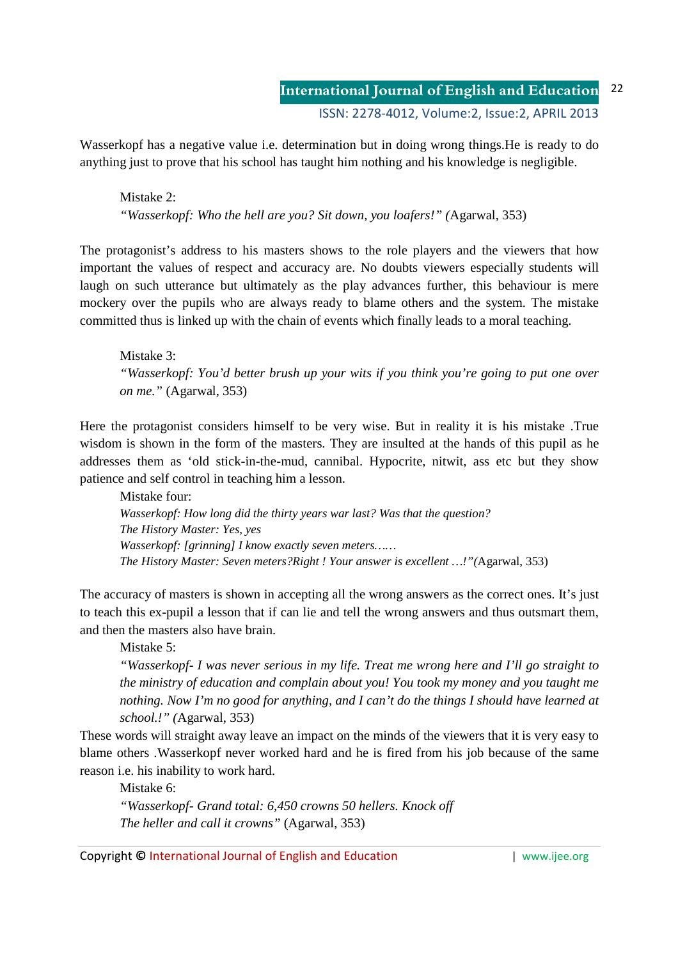Wasserkopf has a negative value i.e. determination but in doing wrong things.He is ready to do anything just to prove that his school has taught him nothing and his knowledge is negligible.

Mistake 2: *"Wasserkopf: Who the hell are you? Sit down, you loafers!" (*Agarwal, 353)

The protagonist's address to his masters shows to the role players and the viewers that how important the values of respect and accuracy are. No doubts viewers especially students will laugh on such utterance but ultimately as the play advances further, this behaviour is mere mockery over the pupils who are always ready to blame others and the system. The mistake committed thus is linked up with the chain of events which finally leads to a moral teaching.

Mistake 3: *"Wasserkopf: You'd better brush up your wits if you think you're going to put one over on me."* (Agarwal, 353)

Here the protagonist considers himself to be very wise. But in reality it is his mistake .True wisdom is shown in the form of the masters. They are insulted at the hands of this pupil as he addresses them as 'old stick-in-the-mud, cannibal. Hypocrite, nitwit, ass etc but they show patience and self control in teaching him a lesson.

Mistake four: *Wasserkopf: How long did the thirty years war last? Was that the question? The History Master: Yes, yes Wasserkopf: [grinning] I know exactly seven meters…… The History Master: Seven meters?Right ! Your answer is excellent …!"(*Agarwal, 353)

The accuracy of masters is shown in accepting all the wrong answers as the correct ones. It's just to teach this ex-pupil a lesson that if can lie and tell the wrong answers and thus outsmart them, and then the masters also have brain.

Mistake 5:

*"Wasserkopf- I was never serious in my life. Treat me wrong here and I'll go straight to the ministry of education and complain about you! You took my money and you taught me nothing. Now I'm no good for anything, and I can't do the things I should have learned at school.!" (*Agarwal, 353)

These words will straight away leave an impact on the minds of the viewers that it is very easy to blame others .Wasserkopf never worked hard and he is fired from his job because of the same reason i.e. his inability to work hard.

Mistake 6: *"Wasserkopf- Grand total: 6,450 crowns 50 hellers. Knock off The heller and call it crowns"* (Agarwal, 353)

Copyright **©** International Journal of English and Education | www.ijee.org